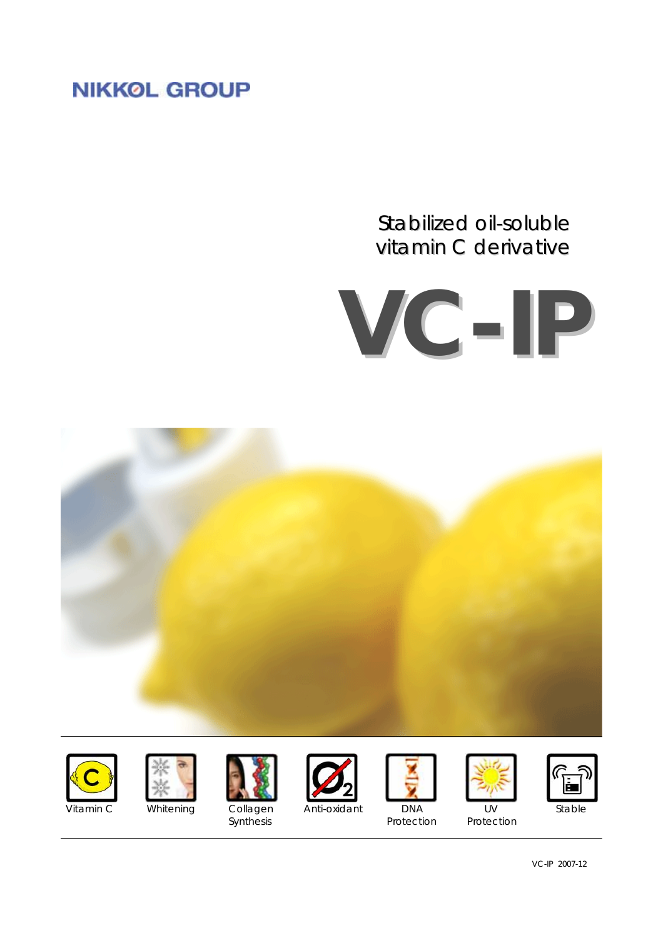# **NIKKOL GROUP**

# Stabilized oil-soluble vitamin C derivative



















Synthesis **Protection** Protection Protection

VC-IP 2007-12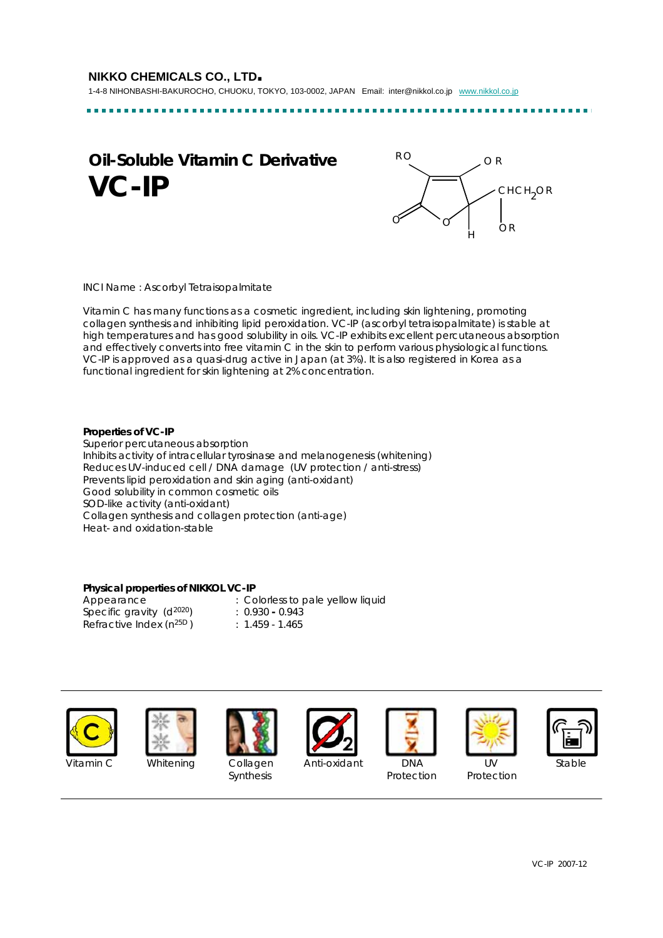....................

# **Oil-Soluble Vitamin C Derivative VC-IP**



INCI Name : Ascorbyl Tetraisopalmitate

Vitamin C has many functions as a cosmetic ingredient, including skin lightening, promoting collagen synthesis and inhibiting lipid peroxidation. VC-IP (ascorbyl tetraisopalmitate) is stable at high temperatures and has good solubility in oils. VC-IP exhibits excellent percutaneous absorption and effectively converts into free vitamin C in the skin to perform various physiological functions. VC-IP is approved as a quasi-drug active in Japan (at 3%). It is also registered in Korea as a functional ingredient for skin lightening at 2% concentration.

## **Properties of VC-IP**

Superior percutaneous absorption Inhibits activity of intracellular tyrosinase and melanogenesis (whitening) Reduces UV-induced cell / DNA damage (UV protection / anti-stress) Prevents lipid peroxidation and skin aging (anti-oxidant) Good solubility in common cosmetic oils SOD-like activity (anti-oxidant) Collagen synthesis and collagen protection (anti-age) Heat- and oxidation-stable

## **Physical properties of NIKKOL VC-IP**

Specific gravity (d2020) : 0.930 **-** 0.943 Refractive Index  $(n^{25D})$  : 1.459 - 1.465

Appearance : Colorless to pale yellow liquid





Synthesis **Protection** Protection Protection



Vitamin C Whitening Collagen Anti-oxidant DNA UV Stable







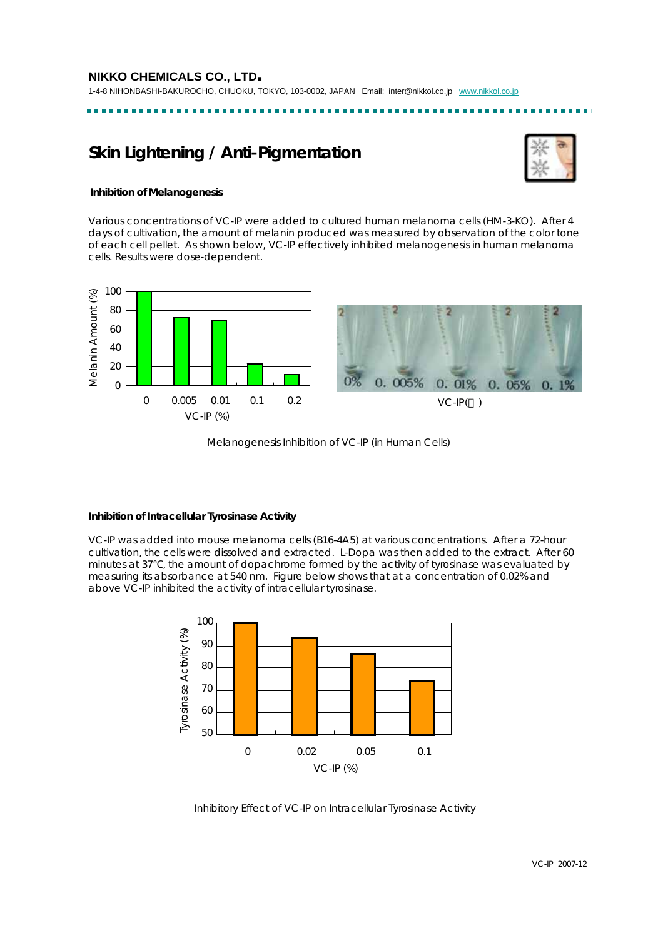----------------

# **Skin Lightening / Anti-Pigmentation**



## **Inhibition of Melanogenesis**

Various concentrations of VC-IP were added to cultured human melanoma cells (HM-3-KO). After 4 days of cultivation, the amount of melanin produced was measured by observation of the color tone of each cell pellet. As shown below, VC-IP effectively inhibited melanogenesis in human melanoma cells. Results were dose-dependent.





Melanogenesis Inhibition of VC-IP (in Human Cells)

## **Inhibition of Intracellular Tyrosinase Activity**

VC-IP was added into mouse melanoma cells (B16-4A5) at various concentrations. After a 72-hour cultivation, the cells were dissolved and extracted. L-Dopa was then added to the extract. After 60 minutes at 37 , the amount of dopachrome formed by the activity of tyrosinase was evaluated by measuring its absorbance at 540 nm. Figure below shows that at a concentration of 0.02% and above VC-IP inhibited the activity of intracellular tyrosinase.



Inhibitory Effect of VC-IP on Intracellular Tyrosinase Activity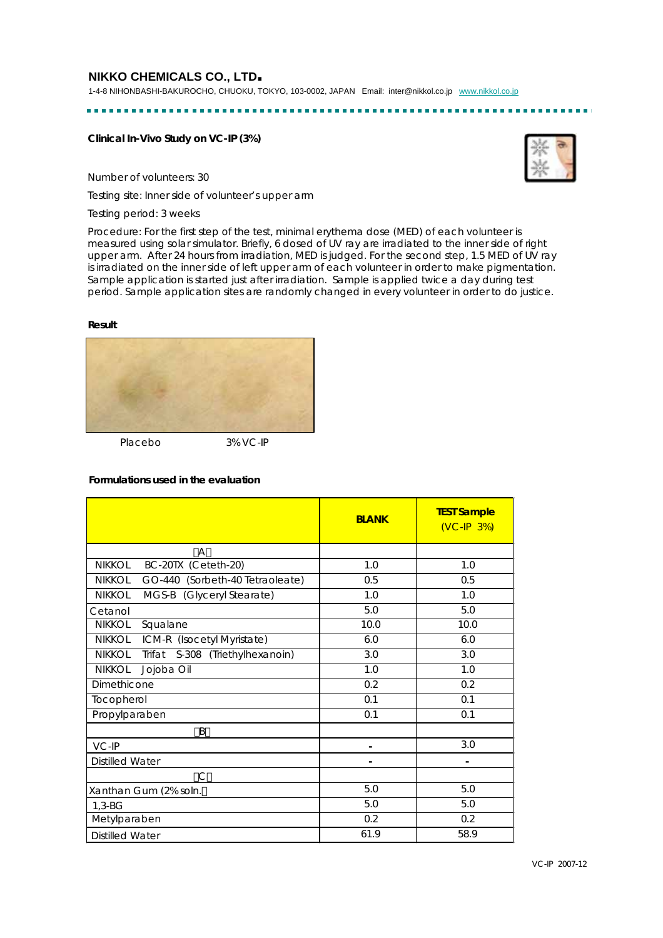1-4-8 NIHONBASHI-BAKUROCHO, CHUOKU, TOKYO, 103-0002, JAPAN Email: inter@nikkol.co.jp www.nikkol.co.jp

## **Clinical In-Vivo Study on VC-IP (3%)**

Number of volunteers: 30

Testing site: Inner side of volunteer's upper arm

Testing period: 3 weeks

Procedure: For the first step of the test, minimal erythema dose (MED) of each volunteer is measured using solar simulator. Briefly, 6 dosed of UV ray are irradiated to the inner side of right upper arm. After 24 hours from irradiation, MED is judged. For the second step, 1.5 MED of UV ray is irradiated on the inner side of left upper arm of each volunteer in order to make pigmentation. Sample application is started just after irradiation. Sample is applied twice a day during test period. Sample application sites are randomly changed in every volunteer in order to do justice.

#### **Result**



Placebo 3% VC-IP

## **Formulations used in the evaluation**

|                                                     | <b>BLANK</b> | <b>TEST Sample</b><br>$(VC-IP 3%)$ |
|-----------------------------------------------------|--------------|------------------------------------|
| A                                                   |              |                                    |
| BC-20TX (Ceteth-20)<br><b>NIKKOL</b>                | 1.0          | 1.0                                |
| <b>NIKKOL</b><br>GO-440 (Sorbeth-40 Tetraoleate)    | 0.5          | 0.5                                |
| <b>NIKKOL</b><br>MGS-B (Glyceryl Stearate)          | 1.0          | 1.0                                |
| Cetanol                                             | 5.0          | 5.0                                |
| <b>NIKKOL</b><br>Squalane                           | 10.0         | 10.0                               |
| NIKKOL<br>ICM-R (Isocetyl Myristate)                | 6.0          | 6.0                                |
| <b>NIKKOL</b><br>S-308 (Triethylhexanoin)<br>Trifat | 3.0          | 3.0                                |
| <b>NIKKOL</b><br>Jojoba Oil                         | 1.0          | 1.0                                |
| Dimethicone                                         | 0.2          | 0.2                                |
| Tocopherol                                          | 0.1          | 0.1                                |
| Propylparaben                                       | 0.1          | 0.1                                |
| B                                                   |              |                                    |
| VC-IP                                               |              | 3.0                                |
| <b>Distilled Water</b>                              |              |                                    |
| $\mathsf{C}$                                        |              |                                    |
| Xanthan Gum (2% soln.                               | 5.0          | 5.0                                |
| $1,3-BG$                                            | 5.0          | 5.0                                |
| Metylparaben                                        | 0.2          | 0.2                                |
| <b>Distilled Water</b>                              | 61.9         | 58.9                               |

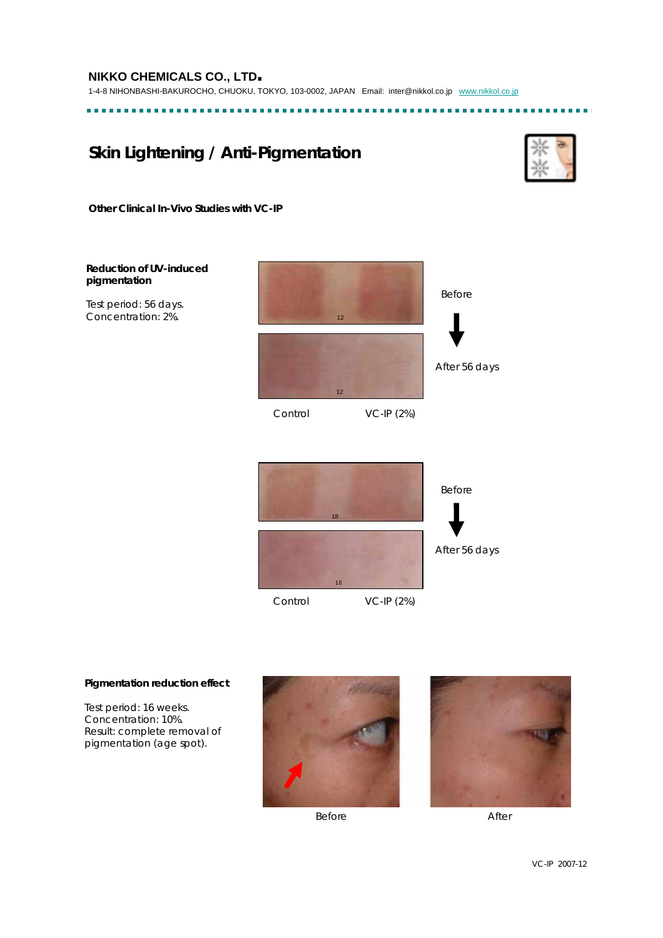# **Skin Lightening / Anti-Pigmentation**



**Other Clinical In-Vivo Studies with VC-IP**

# **Reduction of UV-induced pigmentation**

Test period: 56 days. Concentration: 2%.





#### **Pigmentation reduction effect**

Test period: 16 weeks. Concentration: 10%. Result: complete removal of pigmentation (age spot).



Before After

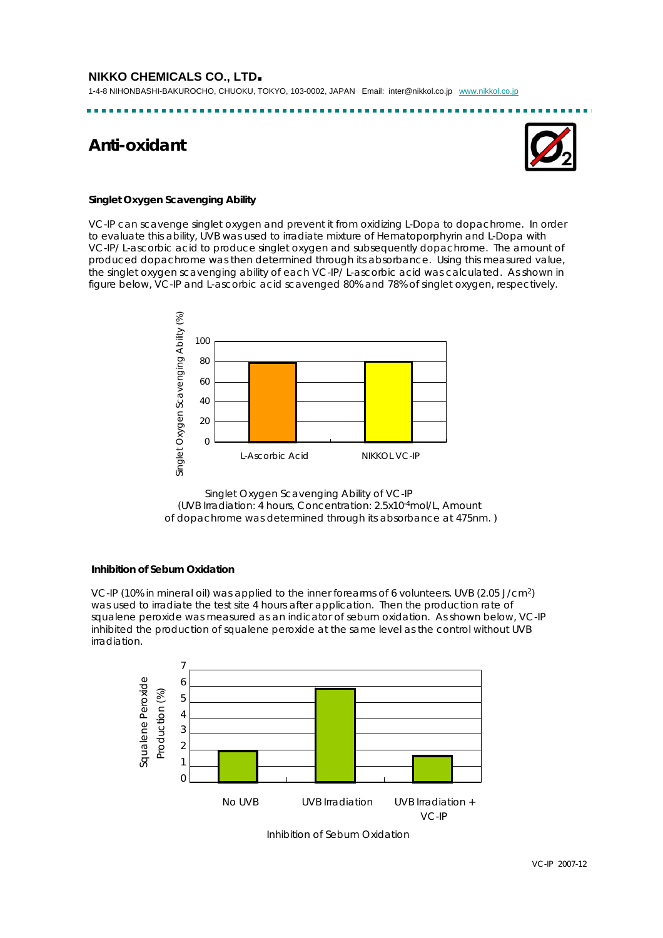1-4-8 NIHONBASHI-BAKUROCHO, CHUOKU, TOKYO, 103-0002, JAPAN Email: inter@nikkol.co.jp www.nikkol.co.jp

# **Anti-oxidant**



## **Singlet Oxygen Scavenging Ability**

VC-IP can scavenge singlet oxygen and prevent it from oxidizing L-Dopa to dopachrome. In order to evaluate this ability, UVB was used to irradiate mixture of Hematoporphyrin and L-Dopa with VC-IP/ L-ascorbic acid to produce singlet oxygen and subsequently dopachrome. The amount of produced dopachrome was then determined through its absorbance. Using this measured value, the singlet oxygen scavenging ability of each VC-IP/ L-ascorbic acid was calculated. As shown in figure below, VC-IP and L-ascorbic acid scavenged 80% and 78% of singlet oxygen, respectively.



Singlet Oxygen Scavenging Ability of VC-IP (UVB Irradiation: 4 hours, Concentration: 2.5x10-4mol/L, Amount of dopachrome was determined through its absorbance at 475nm. )

## **Inhibition of Sebum Oxidation**

VC-IP (10% in mineral oil) was applied to the inner forearms of 6 volunteers. UVB (2.05 J/cm2) was used to irradiate the test site 4 hours after application. Then the production rate of squalene peroxide was measured as an indicator of sebum oxidation. As shown below, VC-IP inhibited the production of squalene peroxide at the same level as the control without UVB irradiation.



VC-IP 2007-12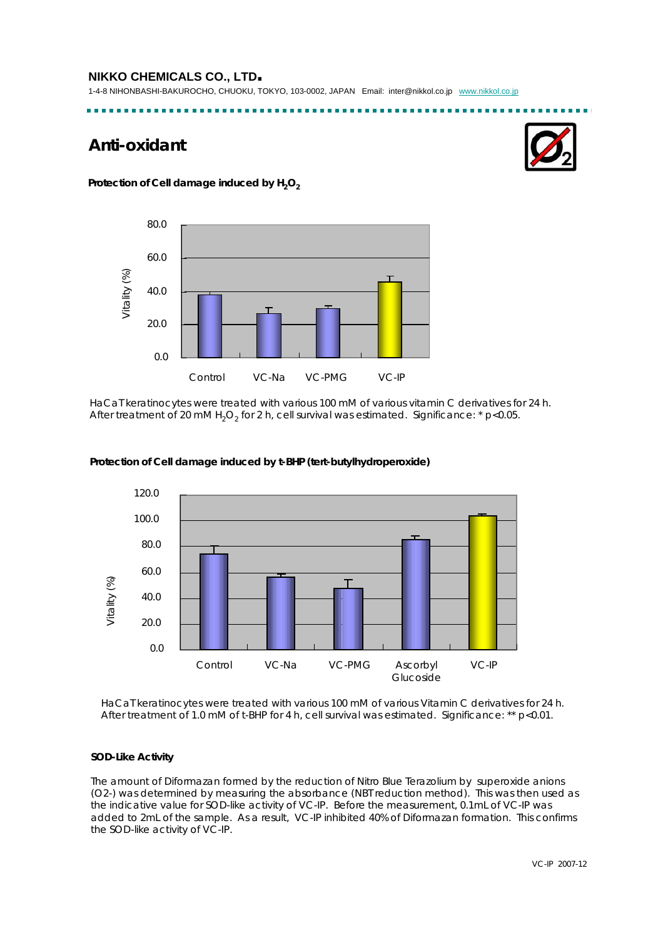1-4-8 NIHONBASHI-BAKUROCHO, CHUOKU, TOKYO, 103-0002, JAPAN Email: inter@nikkol.co.jp www.nikkol.co.jp

--------------------------------

# **Anti-oxidant**



Protection of Cell damage induced by H<sub>2</sub>O<sub>2</sub>



HaCaT keratinocytes were treated with various 100 mM of various vitamin C derivatives for 24 h. After treatment of 20 mM  $H_2O_2$  for 2 h, cell survival was estimated. Significance: \* p<0.05.



**Protection of Cell damage induced by t-BHP (tert-butylhydroperoxide)** 

HaCaT keratinocytes were treated with various 100 mM of various Vitamin C derivatives for 24 h. After treatment of 1.0 mM of t-BHP for 4 h, cell survival was estimated. Significance: \*\* p<0.01.

## **SOD-Like Activity**

The amount of Diformazan formed by the reduction of Nitro Blue Terazolium by superoxide anions (O2-) was determined by measuring the absorbance (NBT reduction method). This was then used as the indicative value for SOD-like activity of VC-IP. Before the measurement, 0.1mL of VC-IP was added to 2mL of the sample. As a result, VC-IP inhibited 40% of Diformazan formation. This confirms the SOD-like activity of VC-IP.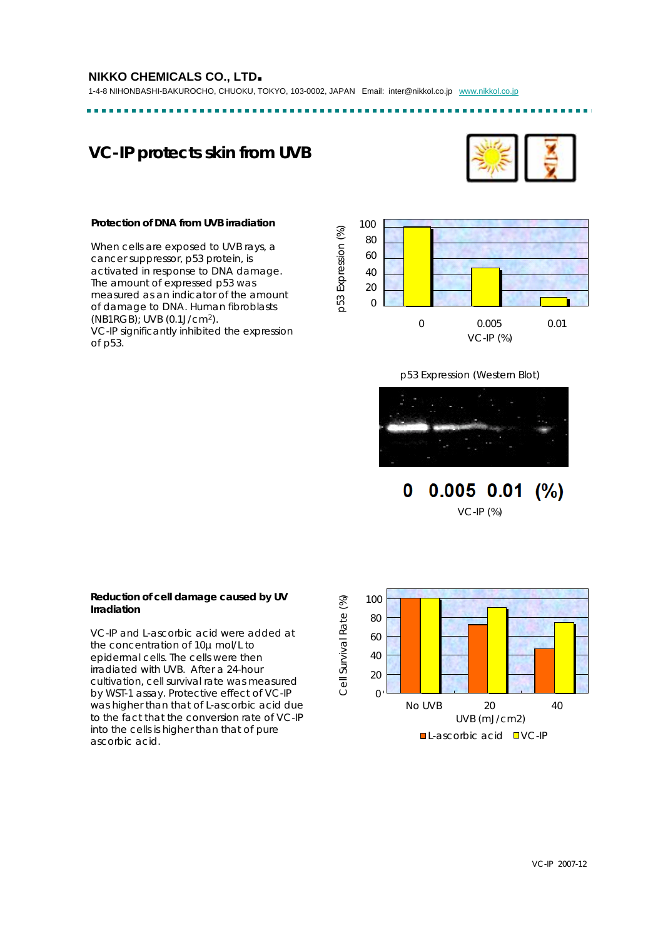1-4-8 NIHONBASHI-BAKUROCHO, CHUOKU, TOKYO, 103-0002, JAPAN Email: inter@nikkol.co.jp www.nikkol.co.jp ---------------------

# **VC-IP protects skin from UVB**



#### **Protection of DNA from UVB irradiation**

When cells are exposed to UVB rays, a cancer suppressor, p53 protein, is activated in response to DNA damage. The amount of expressed p53 was measured as an indicator of the amount of damage to DNA. Human fibroblasts (NB1RGB); UVB (0.1J/cm2). VC-IP significantly inhibited the expression of p53.



--------

p53 Expression (Western Blot)



 $0.005$   $0.01$  $(%)$ 0 VC-IP (%)



#### **Reduction of cell damage caused by UV Irradiation**

VC-IP and L-ascorbic acid were added at the concentration of 10μ mol/L to epidermal cells. The cells were then irradiated with UVB. After a 24-hour cultivation, cell survival rate was measured by WST-1 assay. Protective effect of VC-IP was higher than that of L-ascorbic acid due to the fact that the conversion rate of VC-IP into the cells is higher than that of pure ascorbic acid.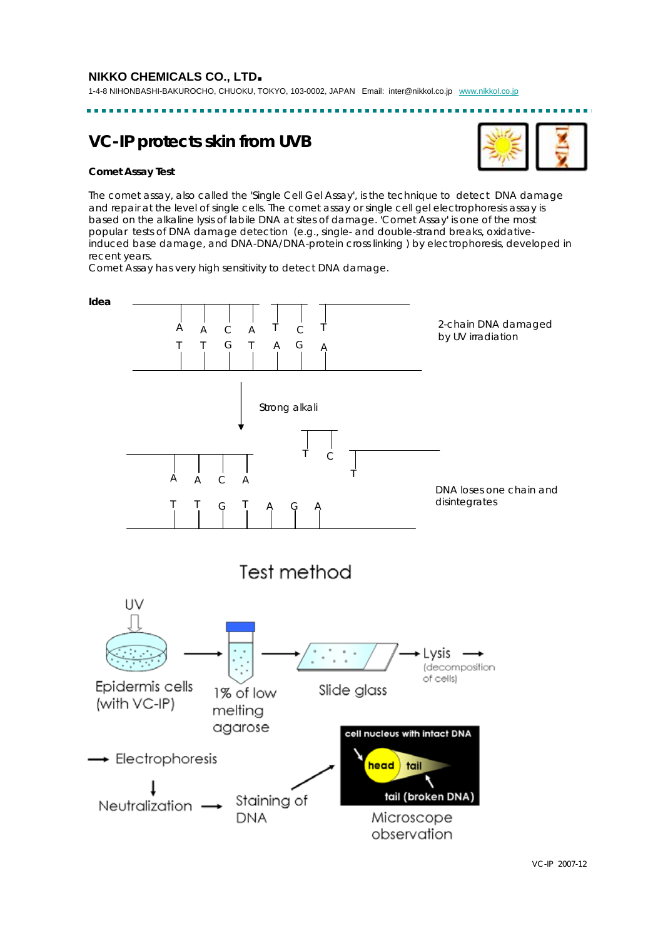# **VC-IP protects skin from UVB**

## **Comet Assay Test**

The comet assay, also called the 'Single Cell Gel Assay', is the technique to detect DNA damage and repair at the level of single cells. The comet assay or single cell gel electrophoresis assay is based on the alkaline lysis of labile DNA at sites of damage. 'Comet Assay' is one of the most popular tests of DNA damage detection (e.g., single- and double-strand breaks, oxidativeinduced base damage, and DNA-DNA/DNA-protein cross linking ) by electrophoresis, developed in recent years.

Comet Assay has very high sensitivity to detect DNA damage.

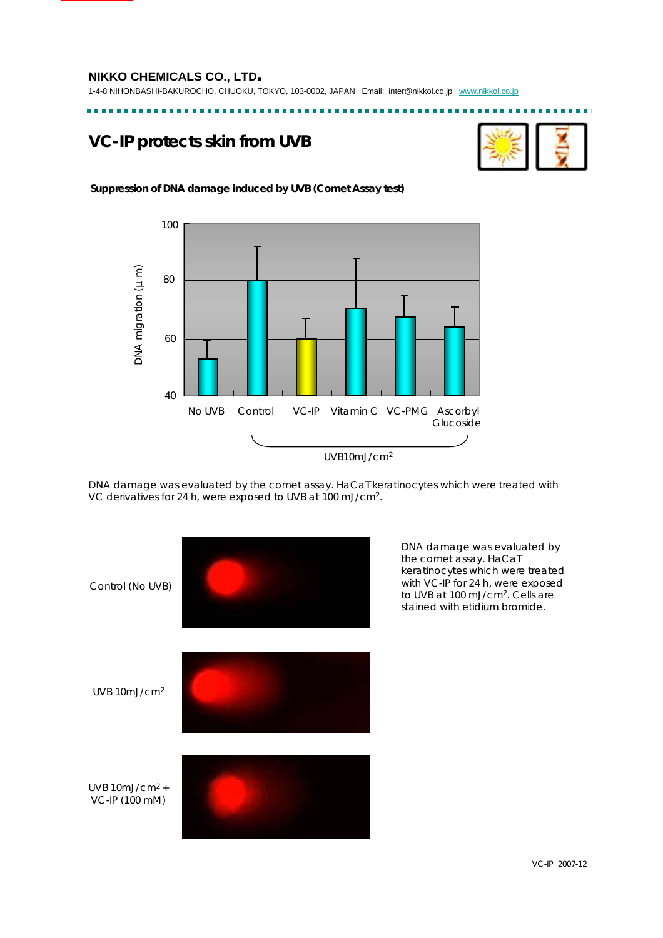1-4-8 NIHONBASHI-BAKUROCHO, CHUOKU, TOKYO, 103-0002, JAPAN Email: inter@nikkol.co.jp www.nikkol.co.jp

...................

# **VC-IP protects skin from UVB**



. . . . . . . . .

---------

## **Suppression of DNA damage induced by UVB (Comet Assay test)**



DNA damage was evaluated by the comet assay. HaCaT keratinocytes which were treated with VC derivatives for 24 h, were exposed to UVB at 100 mJ/cm2.



DNA damage was evaluated by the comet assay. HaCaT keratinocytes which were treated with VC-IP for 24 h, were exposed to UVB at 100 mJ/cm<sup>2</sup>. Cells are stained with etidium bromide.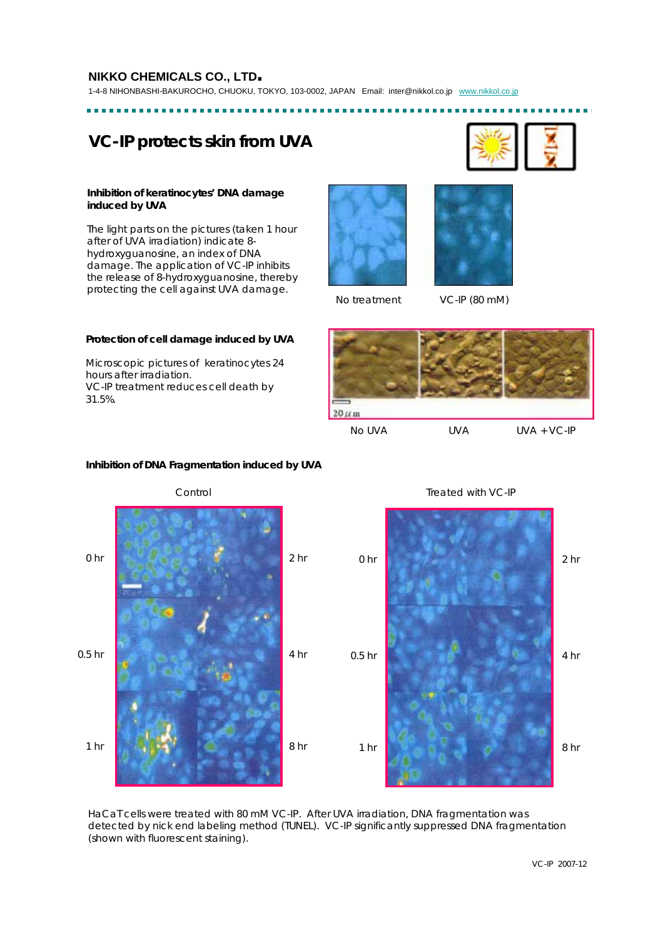1-4-8 NIHONBASHI-BAKUROCHO, CHUOKU, TOKYO, 103-0002, JAPAN Email: inter@nikkol.co.jp www.nikkol.co.jp

# **VC-IP protects skin from UVA**

#### **Inhibition of keratinocytes' DNA damage induced by UVA**

The light parts on the pictures (taken 1 hour after of UVA irradiation) indicate 8 hydroxyguanosine, an index of DNA damage. The application of VC-IP inhibits the release of 8-hydroxyguanosine, thereby protecting the cell against UVA damage.





No treatment VC-IP (80 *m*M)

## **Protection of cell damage induced by UVA**

Microscopic pictures of keratinocytes 24 hours after irradiation. VC-IP treatment reduces cell death by 31.5%.



No UVA UVA UVA + VC-IP

Control 0 hr 0.5 hr 1 hr 2 hr 4 hr 8 hr Treated with VC-IP 0 hr 0.5 hr 1 hr 2 hr 4 hr 8 hr

**Inhibition of DNA Fragmentation induced by UVA**

HaCaT cells were treated with 80 mM VC-IP. After UVA irradiation, DNA fragmentation was detected by nick end labeling method (TUNEL). VC-IP significantly suppressed DNA fragmentation (shown with fluorescent staining).

VC-IP 2007-12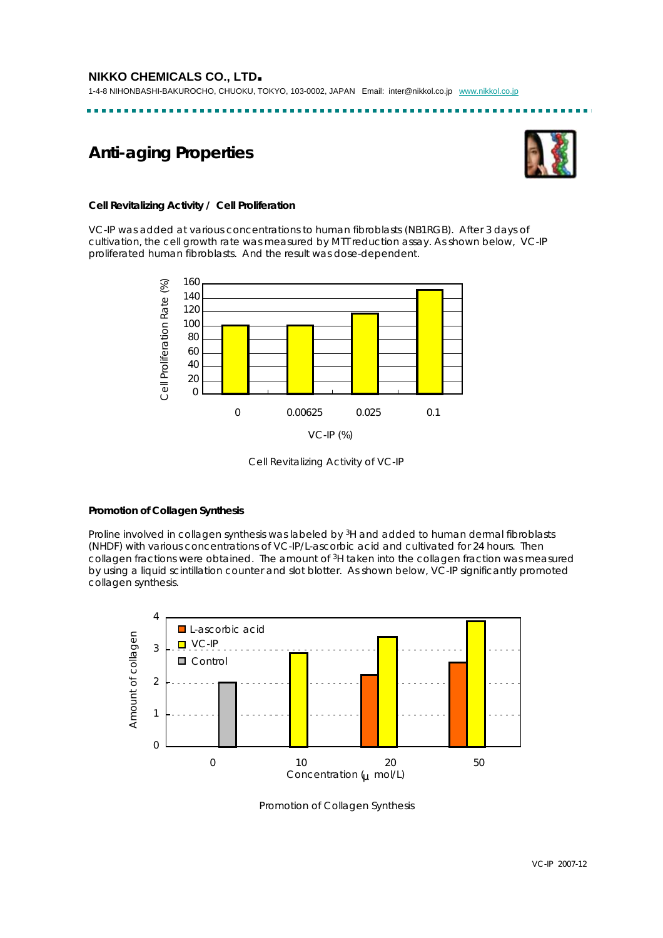# **Anti-aging Properties**



## **Cell Revitalizing Activity / Cell Proliferation**

VC-IP was added at various concentrations to human fibroblasts (NB1RGB). After 3 days of cultivation, the cell growth rate was measured by MTT reduction assay. As shown below, VC-IP proliferated human fibroblasts. And the result was dose-dependent.



Cell Revitalizing Activity of VC-IP

## **Promotion of Collagen Synthesis**

Proline involved in collagen synthesis was labeled by <sup>3</sup>H and added to human dermal fibroblasts (NHDF) with various concentrations of VC-IP/L-ascorbic acid and cultivated for 24 hours. Then collagen fractions were obtained. The amount of <sup>3</sup>H taken into the collagen fraction was measured by using a liquid scintillation counter and slot blotter. As shown below, VC-IP significantly promoted collagen synthesis.



Promotion of Collagen Synthesis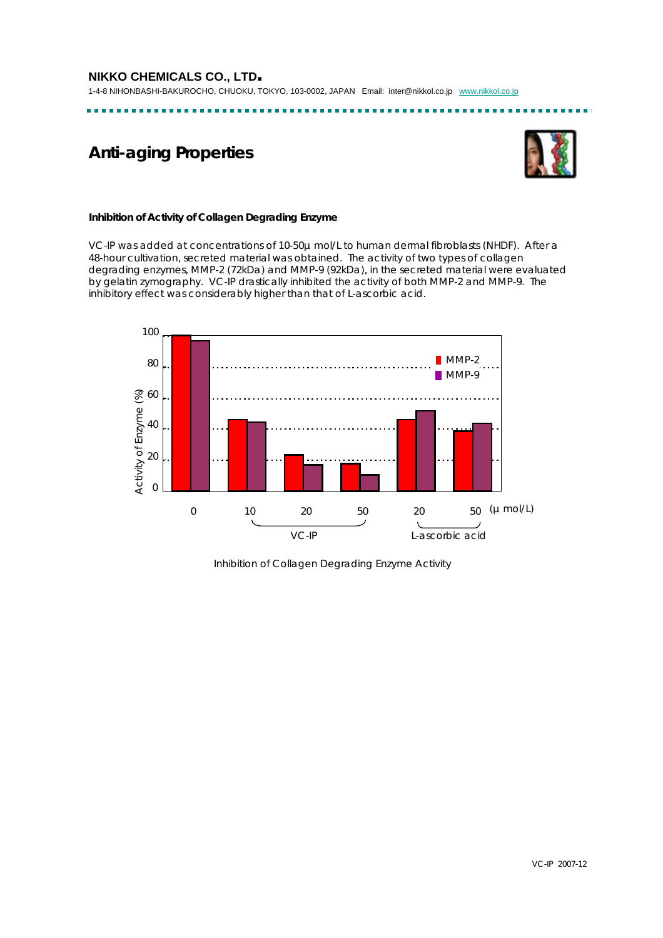1-4-8 NIHONBASHI-BAKUROCHO, CHUOKU, TOKYO, 103-0002, JAPAN Email: inter@nikkol.co.jp www.nikkol.co.jp

. . . . . . . .

# **Anti-aging Properties**



## **Inhibition of Activity of Collagen Degrading Enzyme**

VC-IP was added at concentrations of 10-50μmol/L to human dermal fibroblasts (NHDF). After a 48-hour cultivation, secreted material was obtained. The activity of two types of collagen degrading enzymes, MMP-2 (72kDa) and MMP-9 (92kDa), in the secreted material were evaluated by gelatin zymography. VC-IP drastically inhibited the activity of both MMP-2 and MMP-9. The inhibitory effect was considerably higher than that of L-ascorbic acid.



Inhibition of Collagen Degrading Enzyme Activity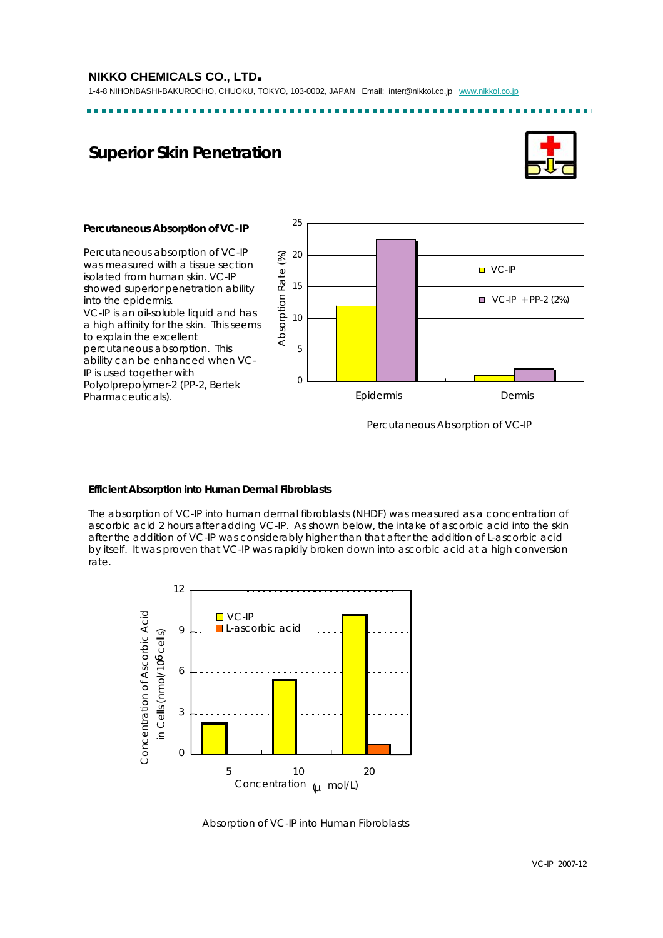1-4-8 NIHONBASHI-BAKUROCHO, CHUOKU, TOKYO, 103-0002, JAPAN Email: inter@nikkol.co.jp www.nikkol.co.jp

# **Superior Skin Penetration**



#### **Percutaneous Absorption of VC-IP**

Percutaneous absorption of VC-IP was measured with a tissue section isolated from human skin. VC-IP showed superior penetration ability into the epidermis. VC-IP is an oil-soluble liquid and has a high affinity for the skin. This seems to explain the excellent percutaneous absorption. This ability can be enhanced when VC-IP is used together with Polyolprepolymer-2 (PP-2, Bertek Pharmaceuticals).



Percutaneous Absorption of VC-IP

## **Efficient Absorption into Human Dermal Fibroblasts**

The absorption of VC-IP into human dermal fibroblasts (NHDF) was measured as a concentration of ascorbic acid 2 hours after adding VC-IP. As shown below, the intake of ascorbic acid into the skin after the addition of VC-IP was considerably higher than that after the addition of L-ascorbic acid by itself. It was proven that VC-IP was rapidly broken down into ascorbic acid at a high conversion rate.



Absorption of VC-IP into Human Fibroblasts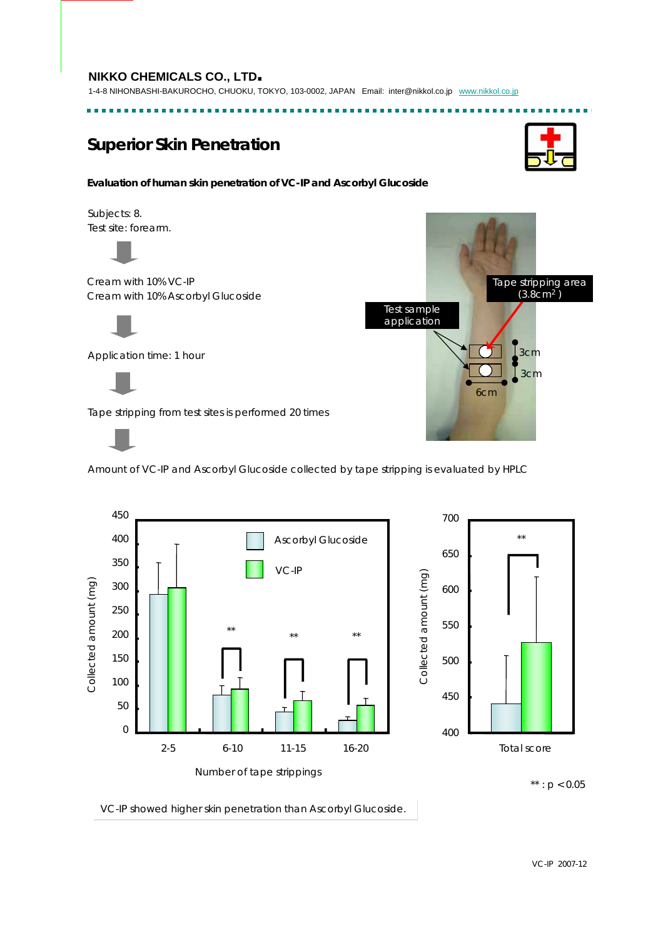1-4-8 NIHONBASHI-BAKUROCHO, CHUOKU, TOKYO, 103-0002, JAPAN Email: inter@nikkol.co.jp www.nikkol.co.jp

. . . . . . . .

# **Superior Skin Penetration**

#### **Evaluation of human skin penetration of VC-IP and Ascorbyl Glucoside**

Subjects: 8. Test site: forearm.



Cream with 10% VC-IP Cream with 10% Ascorbyl Glucoside



Application time: 1 hour



Tape stripping from test sites is performed 20 times



Amount of VC-IP and Ascorbyl Glucoside collected by tape stripping is evaluated by HPLC



VC-IP showed higher skin penetration than Ascorbyl Glucoside.



6cm

Test sample application

> 3cm 3cm

Tape stripping area  $(3.8cm<sup>2</sup>)$